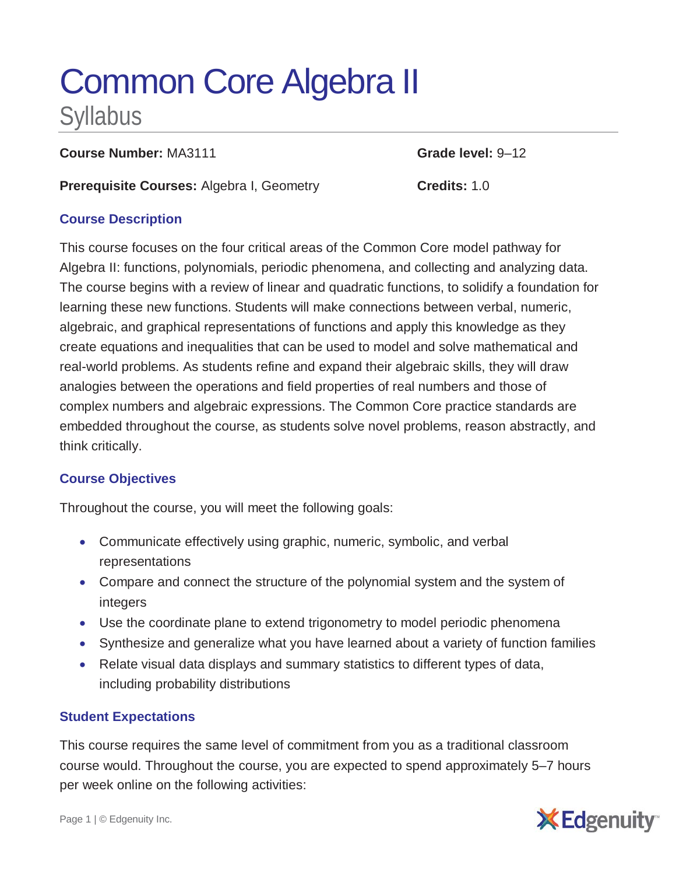# Common Core Algebra II Syllabus

**Course Number:** MA3111 **Grade level:** 9-12

**Prerequisite Courses:** Algebra I, Geometry **Credits:** 1.0

## **Course Description**

This course focuses on the four critical areas of the Common Core model pathway for Algebra II: functions, polynomials, periodic phenomena, and collecting and analyzing data. The course begins with a review of linear and quadratic functions, to solidify a foundation for learning these new functions. Students will make connections between verbal, numeric, algebraic, and graphical representations of functions and apply this knowledge as they create equations and inequalities that can be used to model and solve mathematical and real-world problems. As students refine and expand their algebraic skills, they will draw analogies between the operations and field properties of real numbers and those of complex numbers and algebraic expressions. The Common Core practice standards are embedded throughout the course, as students solve novel problems, reason abstractly, and think critically.

# **Course Objectives**

Throughout the course, you will meet the following goals:

- Communicate effectively using graphic, numeric, symbolic, and verbal representations
- Compare and connect the structure of the polynomial system and the system of integers
- Use the coordinate plane to extend trigonometry to model periodic phenomena
- Synthesize and generalize what you have learned about a variety of function families
- Relate visual data displays and summary statistics to different types of data, including probability distributions

## **Student Expectations**

This course requires the same level of commitment from you as a traditional classroom course would. Throughout the course, you are expected to spend approximately 5–7 hours per week online on the following activities: